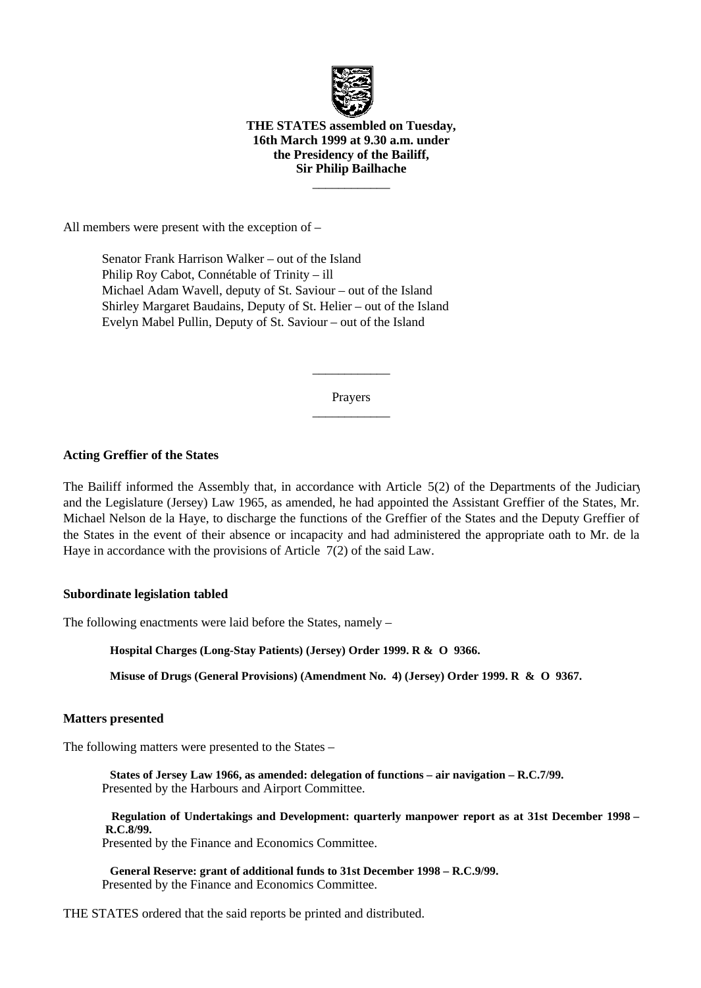

## **THE STATES assembled on Tuesday, 16th March 1999 at 9.30 a.m. under the Presidency of the Bailiff, Sir Philip Bailhache**

 $\overline{\phantom{a}}$  , where  $\overline{\phantom{a}}$ 

All members were present with the exception of –

 Senator Frank Harrison Walker – out of the Island Philip Roy Cabot, Connétable of Trinity – ill Michael Adam Wavell, deputy of St. Saviour – out of the Island Shirley Margaret Baudains, Deputy of St. Helier – out of the Island Evelyn Mabel Pullin, Deputy of St. Saviour – out of the Island

> Prayers  $\overline{\phantom{a}}$

> $\overline{\phantom{a}}$

## **Acting Greffier of the States**

The Bailiff informed the Assembly that, in accordance with Article 5(2) of the Departments of the Judiciary and the Legislature (Jersey) Law 1965, as amended, he had appointed the Assistant Greffier of the States, Mr. Michael Nelson de la Haye, to discharge the functions of the Greffier of the States and the Deputy Greffier of the States in the event of their absence or incapacity and had administered the appropriate oath to Mr. de la Haye in accordance with the provisions of Article 7(2) of the said Law.

## **Subordinate legislation tabled**

The following enactments were laid before the States, namely –

 **Hospital Charges (Long-Stay Patients) (Jersey) Order 1999. R & O 9366.**

 **Misuse of Drugs (General Provisions) (Amendment No. 4) (Jersey) Order 1999. R & O 9367.**

## **Matters presented**

The following matters were presented to the States –

 **States of Jersey Law 1966, as amended: delegation of functions – air navigation – R.C.7/99.** Presented by the Harbours and Airport Committee.

 **Regulation of Undertakings and Development: quarterly manpower report as at 31st December 1998 – R.C.8/99.**

Presented by the Finance and Economics Committee.

 **General Reserve: grant of additional funds to 31st December 1998 – R.C.9/99.** Presented by the Finance and Economics Committee.

THE STATES ordered that the said reports be printed and distributed.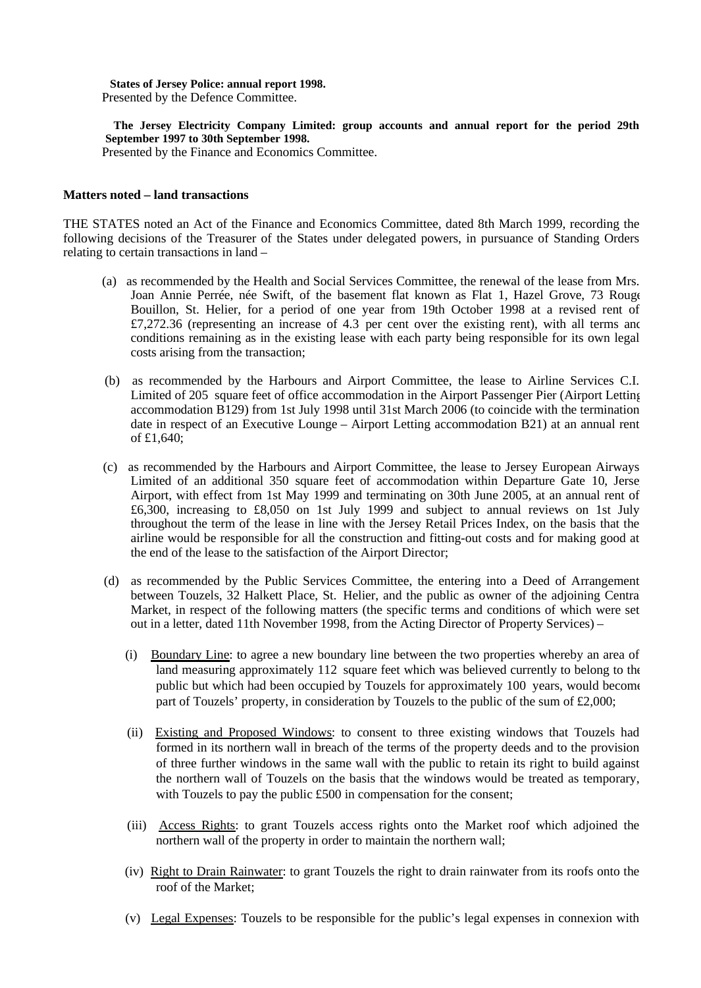#### **States of Jersey Police: annual report 1998.** Presented by the Defence Committee.

 **The Jersey Electricity Company Limited: group accounts and annual report for the period 29th September 1997 to 30th September 1998.**

Presented by the Finance and Economics Committee.

### **Matters noted – land transactions**

THE STATES noted an Act of the Finance and Economics Committee, dated 8th March 1999, recording the following decisions of the Treasurer of the States under delegated powers, in pursuance of Standing Orders relating to certain transactions in land –

- (a) as recommended by the Health and Social Services Committee, the renewal of the lease from Mrs. Joan Annie Perrée, née Swift, of the basement flat known as Flat 1, Hazel Grove, 73 Rouge Bouillon, St. Helier, for a period of one year from 19th October 1998 at a revised rent of  $£7,272.36$  (representing an increase of 4.3 per cent over the existing rent), with all terms and conditions remaining as in the existing lease with each party being responsible for its own legal costs arising from the transaction;
- (b) as recommended by the Harbours and Airport Committee, the lease to Airline Services C.I. Limited of 205 square feet of office accommodation in the Airport Passenger Pier (Airport Letting accommodation B129) from 1st July 1998 until 31st March 2006 (to coincide with the termination date in respect of an Executive Lounge – Airport Letting accommodation B21) at an annual rent of £1,640;
- (c) as recommended by the Harbours and Airport Committee, the lease to Jersey European Airways Limited of an additional 350 square feet of accommodation within Departure Gate 10, Jerse Airport, with effect from 1st May 1999 and terminating on 30th June 2005, at an annual rent of £6,300, increasing to £8,050 on 1st July 1999 and subject to annual reviews on 1st July throughout the term of the lease in line with the Jersey Retail Prices Index, on the basis that the airline would be responsible for all the construction and fitting-out costs and for making good at the end of the lease to the satisfaction of the Airport Director;
- (d) as recommended by the Public Services Committee, the entering into a Deed of Arrangement between Touzels, 32 Halkett Place, St. Helier, and the public as owner of the adjoining Central Market, in respect of the following matters (the specific terms and conditions of which were set out in a letter, dated 11th November 1998, from the Acting Director of Property Services) –
	- (i) Boundary Line: to agree a new boundary line between the two properties whereby an area of land measuring approximately 112 square feet which was believed currently to belong to the public but which had been occupied by Touzels for approximately 100 years, would become part of Touzels' property, in consideration by Touzels to the public of the sum of £2,000;
	- (ii) Existing and Proposed Windows: to consent to three existing windows that Touzels had formed in its northern wall in breach of the terms of the property deeds and to the provision of three further windows in the same wall with the public to retain its right to build against the northern wall of Touzels on the basis that the windows would be treated as temporary, with Touzels to pay the public £500 in compensation for the consent;
	- (iii) Access Rights: to grant Touzels access rights onto the Market roof which adjoined the northern wall of the property in order to maintain the northern wall;
	- (iv) Right to Drain Rainwater: to grant Touzels the right to drain rainwater from its roofs onto the roof of the Market;
	- (v) Legal Expenses: Touzels to be responsible for the public's legal expenses in connexion with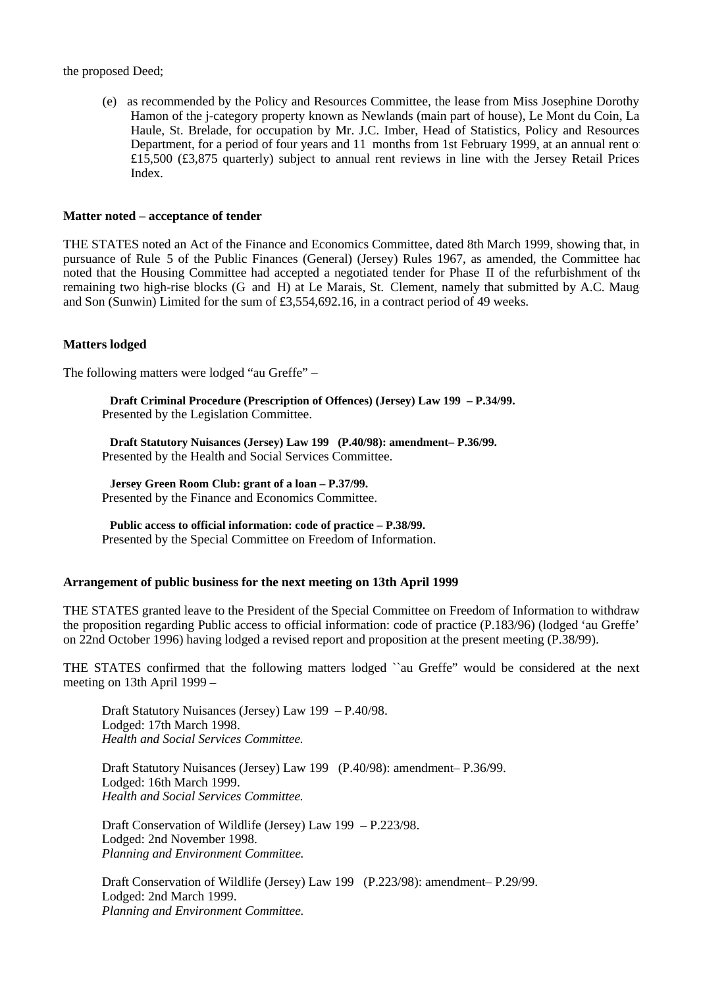#### the proposed Deed;

 (e) as recommended by the Policy and Resources Committee, the lease from Miss Josephine Dorothy Hamon of the j-category property known as Newlands (main part of house), Le Mont du Coin, La Haule, St. Brelade, for occupation by Mr. J.C. Imber, Head of Statistics, Policy and Resources Department, for a period of four years and 11 months from 1st February 1999, at an annual rent of £15,500 (£3,875 quarterly) subject to annual rent reviews in line with the Jersey Retail Prices Index.

#### **Matter noted – acceptance of tender**

THE STATES noted an Act of the Finance and Economics Committee, dated 8th March 1999, showing that, in pursuance of Rule 5 of the Public Finances (General) (Jersey) Rules 1967, as amended, the Committee had noted that the Housing Committee had accepted a negotiated tender for Phase II of the refurbishment of the remaining two high-rise blocks (G and H) at Le Marais, St. Clement, namely that submitted by A.C. Maug and Son (Sunwin) Limited for the sum of £3,554,692.16, in a contract period of 49 weeks.

#### **Matters lodged**

The following matters were lodged "au Greffe" –

 **Draft Criminal Procedure (Prescription of Offences) (Jersey) Law 199 – P.34/99.** Presented by the Legislation Committee.

 **Draft Statutory Nuisances (Jersey) Law 199 (P.40/98): amendment-P.36/99.** Presented by the Health and Social Services Committee.

 **Jersey Green Room Club: grant of a loan – P.37/99.** Presented by the Finance and Economics Committee.

 **Public access to official information: code of practice – P.38/99.** Presented by the Special Committee on Freedom of Information.

#### **Arrangement of public business for the next meeting on 13th April 1999**

THE STATES granted leave to the President of the Special Committee on Freedom of Information to withdraw the proposition regarding Public access to official information: code of practice (P.183/96) (lodged 'au Greffe' on 22nd October 1996) having lodged a revised report and proposition at the present meeting (P.38/99).

THE STATES confirmed that the following matters lodged ``au Greffe" would be considered at the next meeting on 13th April 1999 –

 Draft Statutory Nuisances (Jersey) Law 199 – P.40/98. Lodged: 17th March 1998.  *Health and Social Services Committee.*

Draft Statutory Nuisances (Jersey) Law 199 (P.40/98): amendment-P.36/99. Lodged: 16th March 1999.  *Health and Social Services Committee.*

 Draft Conservation of Wildlife (Jersey) Law 199 – P.223/98. Lodged: 2nd November 1998.  *Planning and Environment Committee.*

Draft Conservation of Wildlife (Jersey) Law 199 (P.223/98): amendment-P.29/99. Lodged: 2nd March 1999.  *Planning and Environment Committee.*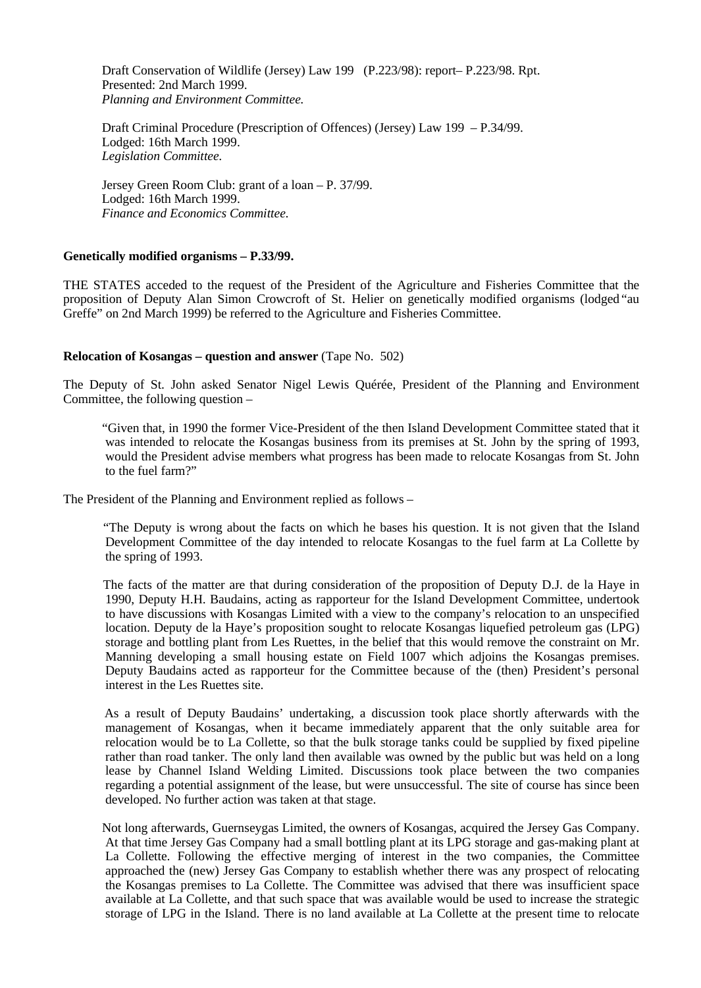Draft Conservation of Wildlife (Jersey) Law 199 (P.223/98): report-P.223/98. Rpt. Presented: 2nd March 1999.  *Planning and Environment Committee.*

 Draft Criminal Procedure (Prescription of Offences) (Jersey) Law 199 – P.34/99. Lodged: 16th March 1999.  *Legislation Committee.*

 Jersey Green Room Club: grant of a loan – P. 37/99. Lodged: 16th March 1999.  *Finance and Economics Committee.*

#### **Genetically modified organisms – P.33/99.**

THE STATES acceded to the request of the President of the Agriculture and Fisheries Committee that the proposition of Deputy Alan Simon Crowcroft of St. Helier on genetically modified organisms (lodged "au Greffe" on 2nd March 1999) be referred to the Agriculture and Fisheries Committee.

## **Relocation of Kosangas – question and answer** (Tape No. 502)

The Deputy of St. John asked Senator Nigel Lewis Quérée, President of the Planning and Environment Committee, the following question –

 "Given that, in 1990 the former Vice-President of the then Island Development Committee stated that it was intended to relocate the Kosangas business from its premises at St. John by the spring of 1993, would the President advise members what progress has been made to relocate Kosangas from St. John to the fuel farm?"

The President of the Planning and Environment replied as follows –

 "The Deputy is wrong about the facts on which he bases his question. It is not given that the Island Development Committee of the day intended to relocate Kosangas to the fuel farm at La Collette by the spring of 1993.

 The facts of the matter are that during consideration of the proposition of Deputy D.J. de la Haye in 1990, Deputy H.H. Baudains, acting as rapporteur for the Island Development Committee, undertook to have discussions with Kosangas Limited with a view to the company's relocation to an unspecified location. Deputy de la Haye's proposition sought to relocate Kosangas liquefied petroleum gas (LPG) storage and bottling plant from Les Ruettes, in the belief that this would remove the constraint on Mr. Manning developing a small housing estate on Field 1007 which adjoins the Kosangas premises. Deputy Baudains acted as rapporteur for the Committee because of the (then) President's personal interest in the Les Ruettes site.

 As a result of Deputy Baudains' undertaking, a discussion took place shortly afterwards with the management of Kosangas, when it became immediately apparent that the only suitable area for relocation would be to La Collette, so that the bulk storage tanks could be supplied by fixed pipeline rather than road tanker. The only land then available was owned by the public but was held on a long lease by Channel Island Welding Limited. Discussions took place between the two companies regarding a potential assignment of the lease, but were unsuccessful. The site of course has since been developed. No further action was taken at that stage.

 Not long afterwards, Guernseygas Limited, the owners of Kosangas, acquired the Jersey Gas Company. At that time Jersey Gas Company had a small bottling plant at its LPG storage and gas-making plant at La Collette. Following the effective merging of interest in the two companies, the Committee approached the (new) Jersey Gas Company to establish whether there was any prospect of relocating the Kosangas premises to La Collette. The Committee was advised that there was insufficient space available at La Collette, and that such space that was available would be used to increase the strategic storage of LPG in the Island. There is no land available at La Collette at the present time to relocate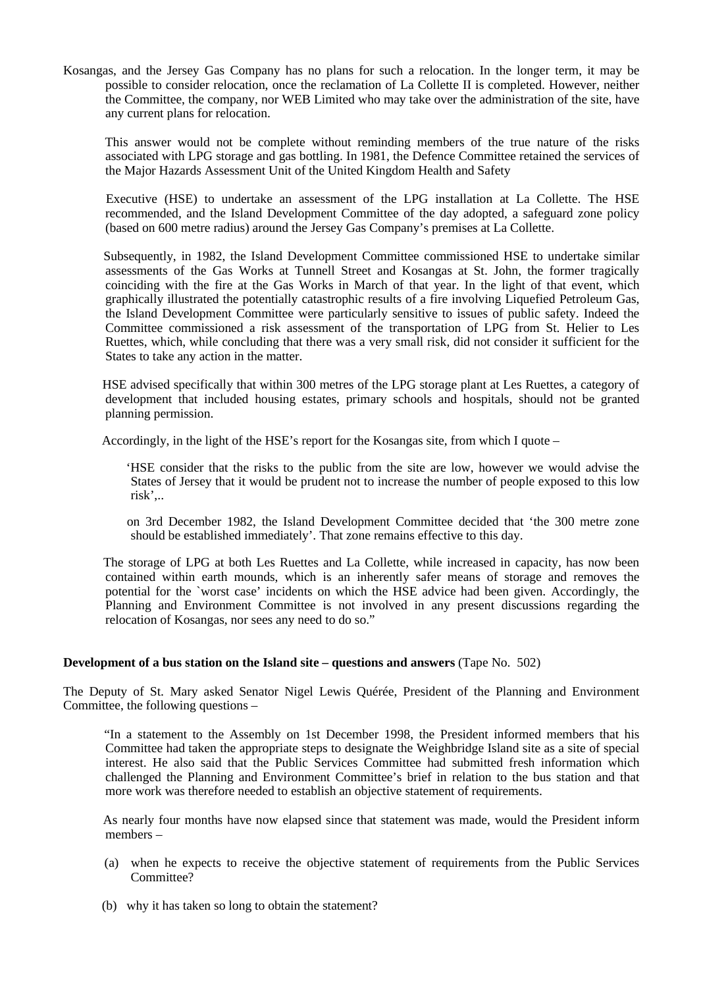Kosangas, and the Jersey Gas Company has no plans for such a relocation. In the longer term, it may be possible to consider relocation, once the reclamation of La Collette II is completed. However, neither the Committee, the company, nor WEB Limited who may take over the administration of the site, have any current plans for relocation.

 This answer would not be complete without reminding members of the true nature of the risks associated with LPG storage and gas bottling. In 1981, the Defence Committee retained the services of the Major Hazards Assessment Unit of the United Kingdom Health and Safety

 Executive (HSE) to undertake an assessment of the LPG installation at La Collette. The HSE recommended, and the Island Development Committee of the day adopted, a safeguard zone policy (based on 600 metre radius) around the Jersey Gas Company's premises at La Collette.

 Subsequently, in 1982, the Island Development Committee commissioned HSE to undertake similar assessments of the Gas Works at Tunnell Street and Kosangas at St. John, the former tragically coinciding with the fire at the Gas Works in March of that year. In the light of that event, which graphically illustrated the potentially catastrophic results of a fire involving Liquefied Petroleum Gas, the Island Development Committee were particularly sensitive to issues of public safety. Indeed the Committee commissioned a risk assessment of the transportation of LPG from St. Helier to Les Ruettes, which, while concluding that there was a very small risk, did not consider it sufficient for the States to take any action in the matter.

 HSE advised specifically that within 300 metres of the LPG storage plant at Les Ruettes, a category of development that included housing estates, primary schools and hospitals, should not be granted planning permission.

Accordingly, in the light of the HSE's report for the Kosangas site, from which I quote –

 'HSE consider that the risks to the public from the site are low, however we would advise the States of Jersey that it would be prudent not to increase the number of people exposed to this low risk',..

 on 3rd December 1982, the Island Development Committee decided that 'the 300 metre zone should be established immediately'. That zone remains effective to this day.

 The storage of LPG at both Les Ruettes and La Collette, while increased in capacity, has now been contained within earth mounds, which is an inherently safer means of storage and removes the potential for the `worst case' incidents on which the HSE advice had been given. Accordingly, the Planning and Environment Committee is not involved in any present discussions regarding the relocation of Kosangas, nor sees any need to do so."

## **Development of a bus station on the Island site – questions and answers (Tape No. 502)**

The Deputy of St. Mary asked Senator Nigel Lewis Quérée, President of the Planning and Environment Committee, the following questions –

 "In a statement to the Assembly on 1st December 1998, the President informed members that his Committee had taken the appropriate steps to designate the Weighbridge Island site as a site of special interest. He also said that the Public Services Committee had submitted fresh information which challenged the Planning and Environment Committee's brief in relation to the bus station and that more work was therefore needed to establish an objective statement of requirements.

 As nearly four months have now elapsed since that statement was made, would the President inform members –

- (a) when he expects to receive the objective statement of requirements from the Public Services Committee?
- (b) why it has taken so long to obtain the statement?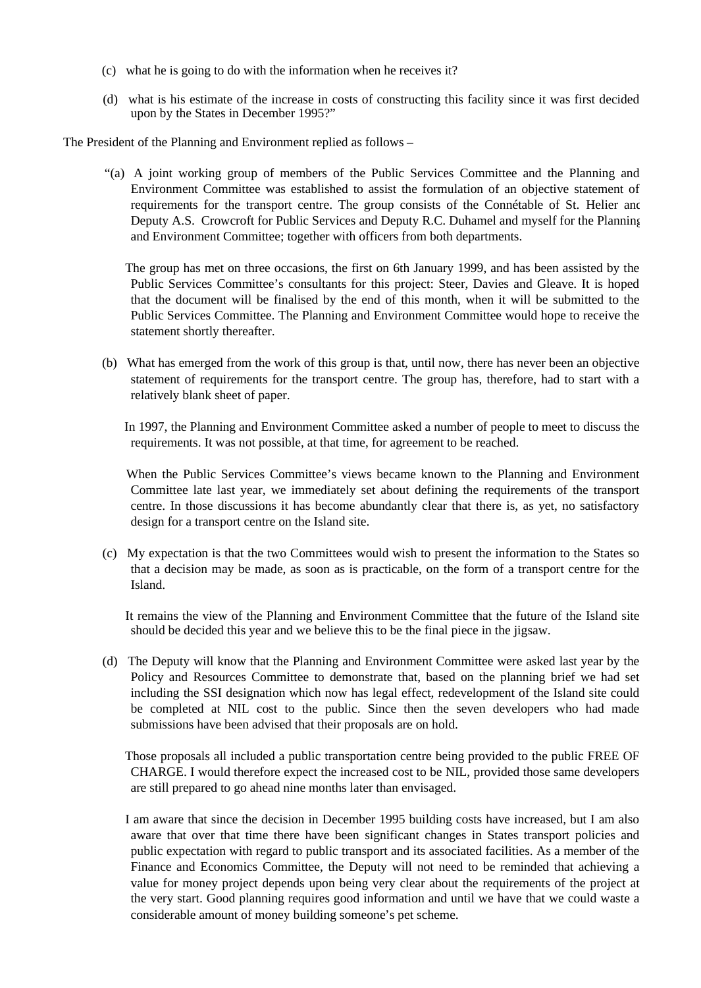- (c) what he is going to do with the information when he receives it?
- (d) what is his estimate of the increase in costs of constructing this facility since it was first decided upon by the States in December 1995?"

The President of the Planning and Environment replied as follows –

 "(a) A joint working group of members of the Public Services Committee and the Planning and Environment Committee was established to assist the formulation of an objective statement of requirements for the transport centre. The group consists of the Connétable of St. Helier and Deputy A.S. Crowcroft for Public Services and Deputy R.C. Duhamel and myself for the Planning and Environment Committee; together with officers from both departments.

 The group has met on three occasions, the first on 6th January 1999, and has been assisted by the Public Services Committee's consultants for this project: Steer, Davies and Gleave. It is hoped that the document will be finalised by the end of this month, when it will be submitted to the Public Services Committee. The Planning and Environment Committee would hope to receive the statement shortly thereafter.

 (b) What has emerged from the work of this group is that, until now, there has never been an objective statement of requirements for the transport centre. The group has, therefore, had to start with a relatively blank sheet of paper.

 In 1997, the Planning and Environment Committee asked a number of people to meet to discuss the requirements. It was not possible, at that time, for agreement to be reached.

 When the Public Services Committee's views became known to the Planning and Environment Committee late last year, we immediately set about defining the requirements of the transport centre. In those discussions it has become abundantly clear that there is, as yet, no satisfactory design for a transport centre on the Island site.

 (c) My expectation is that the two Committees would wish to present the information to the States so that a decision may be made, as soon as is practicable, on the form of a transport centre for the Island.

 It remains the view of the Planning and Environment Committee that the future of the Island site should be decided this year and we believe this to be the final piece in the jigsaw.

 (d) The Deputy will know that the Planning and Environment Committee were asked last year by the Policy and Resources Committee to demonstrate that, based on the planning brief we had set including the SSI designation which now has legal effect, redevelopment of the Island site could be completed at NIL cost to the public. Since then the seven developers who had made submissions have been advised that their proposals are on hold.

 Those proposals all included a public transportation centre being provided to the public FREE OF CHARGE. I would therefore expect the increased cost to be NIL, provided those same developers are still prepared to go ahead nine months later than envisaged.

 I am aware that since the decision in December 1995 building costs have increased, but I am also aware that over that time there have been significant changes in States transport policies and public expectation with regard to public transport and its associated facilities. As a member of the Finance and Economics Committee, the Deputy will not need to be reminded that achieving a value for money project depends upon being very clear about the requirements of the project at the very start. Good planning requires good information and until we have that we could waste a considerable amount of money building someone's pet scheme.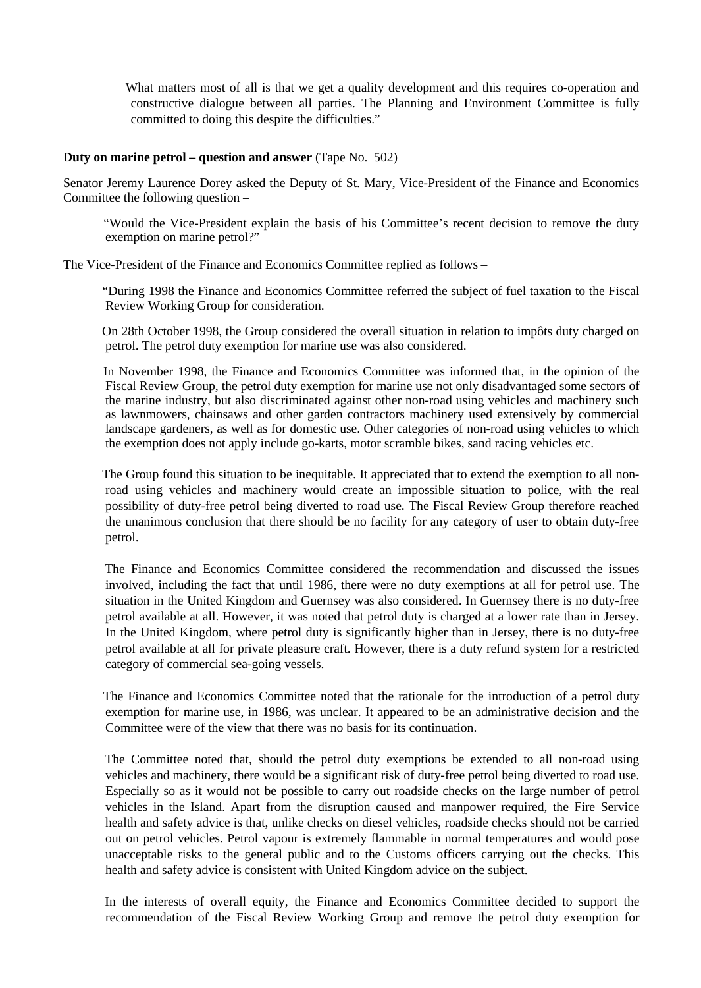What matters most of all is that we get a quality development and this requires co-operation and constructive dialogue between all parties. The Planning and Environment Committee is fully committed to doing this despite the difficulties."

### **Duty on marine petrol – question and answer** (Tape No. 502)

Senator Jeremy Laurence Dorey asked the Deputy of St. Mary, Vice-President of the Finance and Economics Committee the following question –

 "Would the Vice-President explain the basis of his Committee's recent decision to remove the duty exemption on marine petrol?"

The Vice-President of the Finance and Economics Committee replied as follows –

 "During 1998 the Finance and Economics Committee referred the subject of fuel taxation to the Fiscal Review Working Group for consideration.

 On 28th October 1998, the Group considered the overall situation in relation to impôts duty charged on petrol. The petrol duty exemption for marine use was also considered.

 In November 1998, the Finance and Economics Committee was informed that, in the opinion of the Fiscal Review Group, the petrol duty exemption for marine use not only disadvantaged some sectors of the marine industry, but also discriminated against other non-road using vehicles and machinery such as lawnmowers, chainsaws and other garden contractors machinery used extensively by commercial landscape gardeners, as well as for domestic use. Other categories of non-road using vehicles to which the exemption does not apply include go-karts, motor scramble bikes, sand racing vehicles etc.

 The Group found this situation to be inequitable. It appreciated that to extend the exemption to all nonroad using vehicles and machinery would create an impossible situation to police, with the real possibility of duty-free petrol being diverted to road use. The Fiscal Review Group therefore reached the unanimous conclusion that there should be no facility for any category of user to obtain duty-free petrol.

 The Finance and Economics Committee considered the recommendation and discussed the issues involved, including the fact that until 1986, there were no duty exemptions at all for petrol use. The situation in the United Kingdom and Guernsey was also considered. In Guernsey there is no duty-free petrol available at all. However, it was noted that petrol duty is charged at a lower rate than in Jersey. In the United Kingdom, where petrol duty is significantly higher than in Jersey, there is no duty-free petrol available at all for private pleasure craft. However, there is a duty refund system for a restricted category of commercial sea-going vessels.

 The Finance and Economics Committee noted that the rationale for the introduction of a petrol duty exemption for marine use, in 1986, was unclear. It appeared to be an administrative decision and the Committee were of the view that there was no basis for its continuation.

 The Committee noted that, should the petrol duty exemptions be extended to all non-road using vehicles and machinery, there would be a significant risk of duty-free petrol being diverted to road use. Especially so as it would not be possible to carry out roadside checks on the large number of petrol vehicles in the Island. Apart from the disruption caused and manpower required, the Fire Service health and safety advice is that, unlike checks on diesel vehicles, roadside checks should not be carried out on petrol vehicles. Petrol vapour is extremely flammable in normal temperatures and would pose unacceptable risks to the general public and to the Customs officers carrying out the checks. This health and safety advice is consistent with United Kingdom advice on the subject.

 In the interests of overall equity, the Finance and Economics Committee decided to support the recommendation of the Fiscal Review Working Group and remove the petrol duty exemption for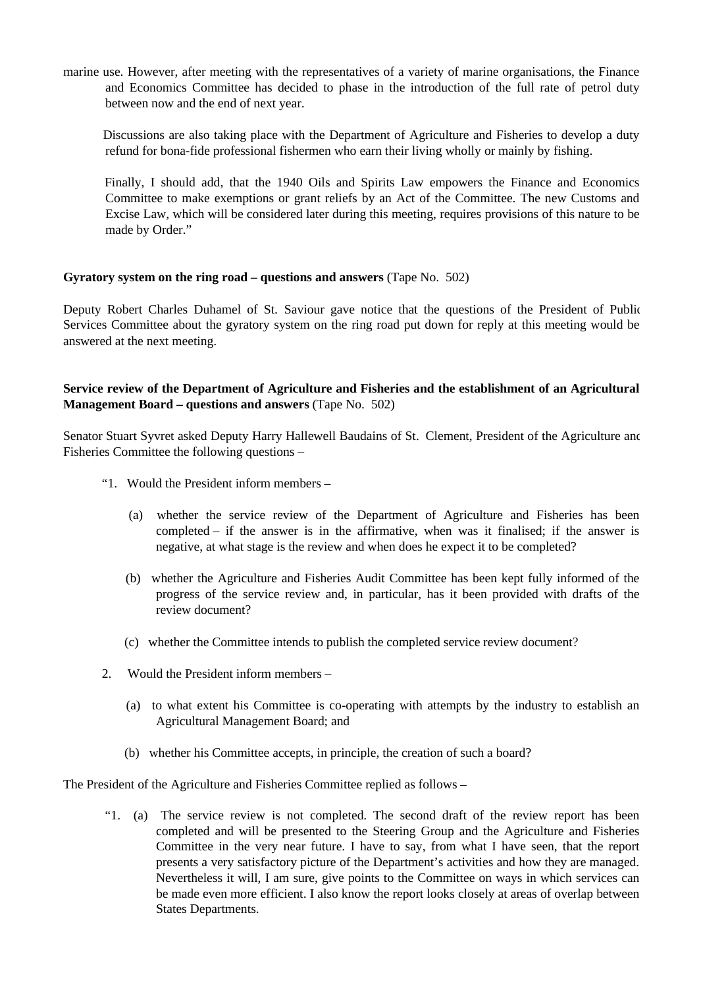marine use. However, after meeting with the representatives of a variety of marine organisations, the Finance and Economics Committee has decided to phase in the introduction of the full rate of petrol duty between now and the end of next year.

 Discussions are also taking place with the Department of Agriculture and Fisheries to develop a duty refund for bona-fide professional fishermen who earn their living wholly or mainly by fishing.

 Finally, I should add, that the 1940 Oils and Spirits Law empowers the Finance and Economics Committee to make exemptions or grant reliefs by an Act of the Committee. The new Customs and Excise Law, which will be considered later during this meeting, requires provisions of this nature to be made by Order."

## **Gyratory system on the ring road – questions and answers** (Tape No. 502)

Deputy Robert Charles Duhamel of St. Saviour gave notice that the questions of the President of Public Services Committee about the gyratory system on the ring road put down for reply at this meeting would be answered at the next meeting.

# **Service review of the Department of Agriculture and Fisheries and the establishment of an Agricultural Management Board – questions and answers** (Tape No. 502)

Senator Stuart Syvret asked Deputy Harry Hallewell Baudains of St. Clement, President of the Agriculture and Fisheries Committee the following questions –

- "1. Would the President inform members
	- (a) whether the service review of the Department of Agriculture and Fisheries has been completed – if the answer is in the affirmative, when was it finalised; if the answer is negative, at what stage is the review and when does he expect it to be completed?
	- (b) whether the Agriculture and Fisheries Audit Committee has been kept fully informed of the progress of the service review and, in particular, has it been provided with drafts of the review document?
	- (c) whether the Committee intends to publish the completed service review document?
- 2. Would the President inform members
	- (a) to what extent his Committee is co-operating with attempts by the industry to establish an Agricultural Management Board; and
	- (b) whether his Committee accepts, in principle, the creation of such a board?

The President of the Agriculture and Fisheries Committee replied as follows –

 "1. (a) The service review is not completed. The second draft of the review report has been completed and will be presented to the Steering Group and the Agriculture and Fisheries Committee in the very near future. I have to say, from what I have seen, that the report presents a very satisfactory picture of the Department's activities and how they are managed. Nevertheless it will, I am sure, give points to the Committee on ways in which services can be made even more efficient. I also know the report looks closely at areas of overlap between States Departments.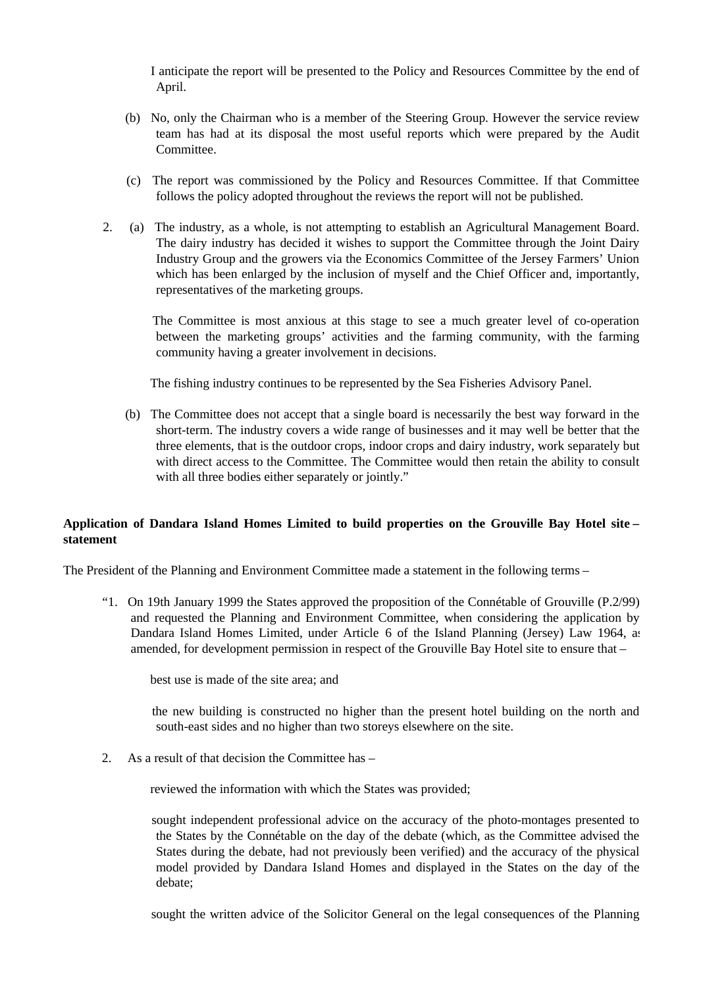I anticipate the report will be presented to the Policy and Resources Committee by the end of April.

- (b) No, only the Chairman who is a member of the Steering Group. However the service review team has had at its disposal the most useful reports which were prepared by the Audit Committee.
- (c) The report was commissioned by the Policy and Resources Committee. If that Committee follows the policy adopted throughout the reviews the report will not be published.
- 2. (a) The industry, as a whole, is not attempting to establish an Agricultural Management Board. The dairy industry has decided it wishes to support the Committee through the Joint Dairy Industry Group and the growers via the Economics Committee of the Jersey Farmers' Union which has been enlarged by the inclusion of myself and the Chief Officer and, importantly, representatives of the marketing groups.

 The Committee is most anxious at this stage to see a much greater level of co-operation between the marketing groups' activities and the farming community, with the farming community having a greater involvement in decisions.

The fishing industry continues to be represented by the Sea Fisheries Advisory Panel.

 (b) The Committee does not accept that a single board is necessarily the best way forward in the short-term. The industry covers a wide range of businesses and it may well be better that the three elements, that is the outdoor crops, indoor crops and dairy industry, work separately but with direct access to the Committee. The Committee would then retain the ability to consult with all three bodies either separately or jointly."

## **Application of Dandara Island Homes Limited to build properties on the Grouville Bay Hotel site – statement**

The President of the Planning and Environment Committee made a statement in the following terms –

 "1. On 19th January 1999 the States approved the proposition of the Connétable of Grouville (P.2/99) and requested the Planning and Environment Committee, when considering the application by Dandara Island Homes Limited, under Article 6 of the Island Planning (Jersey) Law 1964, as amended, for development permission in respect of the Grouville Bay Hotel site to ensure that –

best use is made of the site area; and

 the new building is constructed no higher than the present hotel building on the north and south-east sides and no higher than two storeys elsewhere on the site.

2. As a result of that decision the Committee has –

reviewed the information with which the States was provided;

 sought independent professional advice on the accuracy of the photo-montages presented to the States by the Connétable on the day of the debate (which, as the Committee advised the States during the debate, had not previously been verified) and the accuracy of the physical model provided by Dandara Island Homes and displayed in the States on the day of the debate;

sought the written advice of the Solicitor General on the legal consequences of the Planning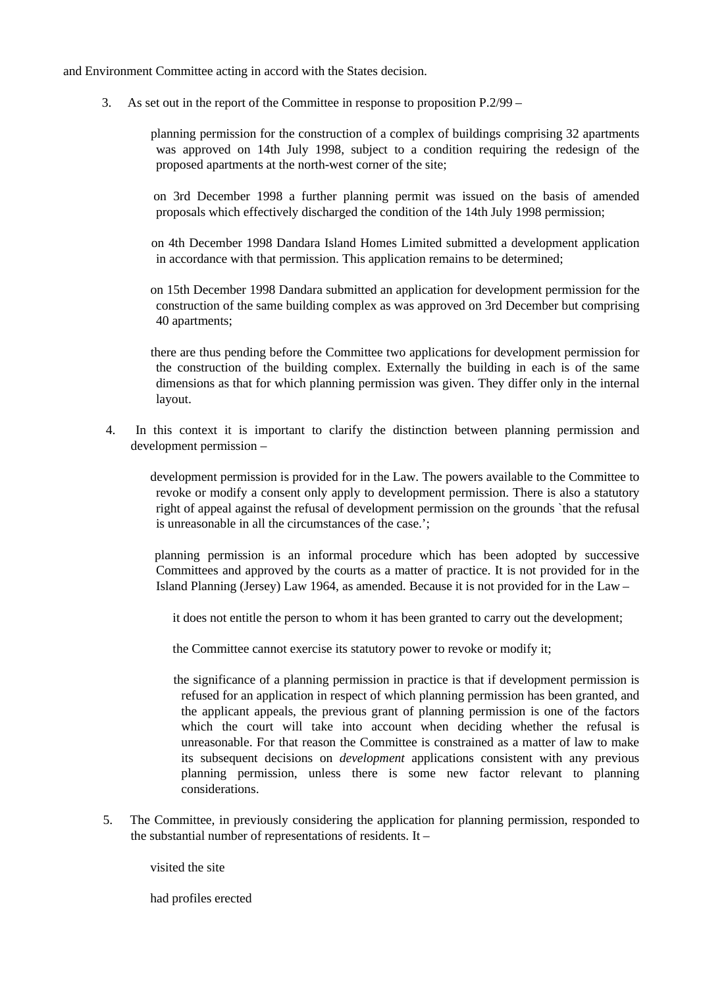and Environment Committee acting in accord with the States decision.

3. As set out in the report of the Committee in response to proposition P.2/99 –

 planning permission for the construction of a complex of buildings comprising 32 apartments was approved on 14th July 1998, subject to a condition requiring the redesign of the proposed apartments at the north-west corner of the site;

 on 3rd December 1998 a further planning permit was issued on the basis of amended proposals which effectively discharged the condition of the 14th July 1998 permission;

 on 4th December 1998 Dandara Island Homes Limited submitted a development application in accordance with that permission. This application remains to be determined;

 on 15th December 1998 Dandara submitted an application for development permission for the construction of the same building complex as was approved on 3rd December but comprising 40 apartments;

 there are thus pending before the Committee two applications for development permission for the construction of the building complex. Externally the building in each is of the same dimensions as that for which planning permission was given. They differ only in the internal layout.

 4. In this context it is important to clarify the distinction between planning permission and development permission –

 development permission is provided for in the Law. The powers available to the Committee to revoke or modify a consent only apply to development permission. There is also a statutory right of appeal against the refusal of development permission on the grounds `that the refusal is unreasonable in all the circumstances of the case.';

 planning permission is an informal procedure which has been adopted by successive Committees and approved by the courts as a matter of practice. It is not provided for in the Island Planning (Jersey) Law 1964, as amended. Because it is not provided for in the Law –

it does not entitle the person to whom it has been granted to carry out the development;

the Committee cannot exercise its statutory power to revoke or modify it;

- the significance of a planning permission in practice is that if development permission is refused for an application in respect of which planning permission has been granted, and the applicant appeals, the previous grant of planning permission is one of the factors which the court will take into account when deciding whether the refusal is unreasonable. For that reason the Committee is constrained as a matter of law to make its subsequent decisions on *development* applications consistent with any previous planning permission, unless there is some new factor relevant to planning considerations.
- 5. The Committee, in previously considering the application for planning permission, responded to the substantial number of representations of residents. It –

visited the site

had profiles erected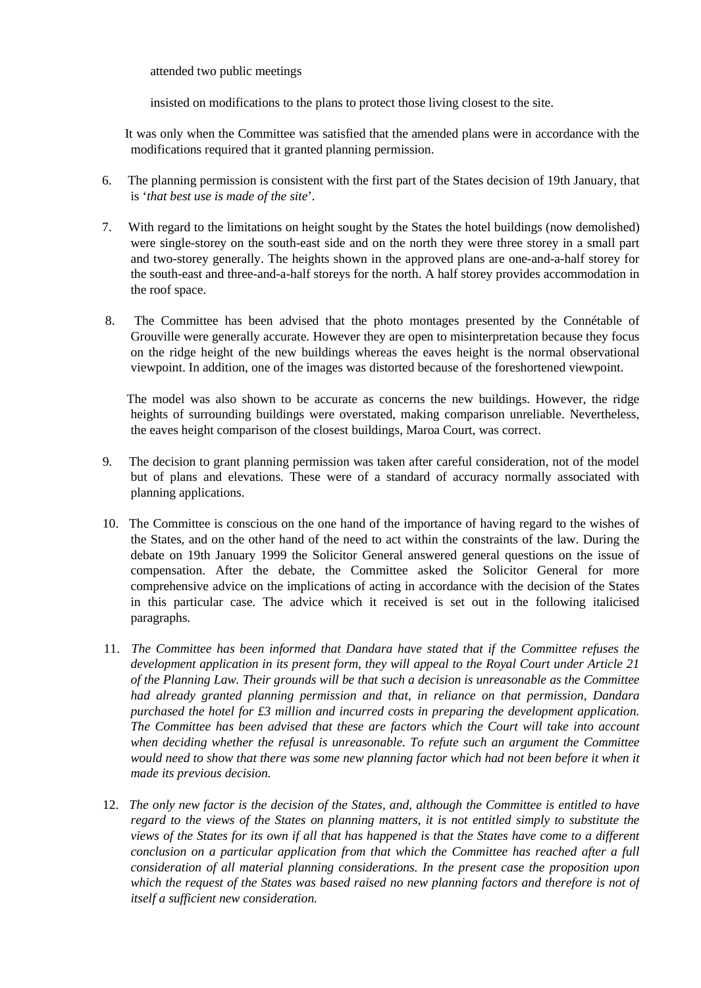attended two public meetings

insisted on modifications to the plans to protect those living closest to the site.

 It was only when the Committee was satisfied that the amended plans were in accordance with the modifications required that it granted planning permission.

- 6. The planning permission is consistent with the first part of the States decision of 19th January, that is '*that best use is made of the site*'.
- 7. With regard to the limitations on height sought by the States the hotel buildings (now demolished) were single-storey on the south-east side and on the north they were three storey in a small part and two-storey generally. The heights shown in the approved plans are one-and-a-half storey for the south-east and three-and-a-half storeys for the north. A half storey provides accommodation in the roof space.
- 8. The Committee has been advised that the photo montages presented by the Connétable of Grouville were generally accurate. However they are open to misinterpretation because they focus on the ridge height of the new buildings whereas the eaves height is the normal observational viewpoint. In addition, one of the images was distorted because of the foreshortened viewpoint.

 The model was also shown to be accurate as concerns the new buildings. However, the ridge heights of surrounding buildings were overstated, making comparison unreliable. Nevertheless, the eaves height comparison of the closest buildings, Maroa Court, was correct.

- 9. The decision to grant planning permission was taken after careful consideration, not of the model but of plans and elevations. These were of a standard of accuracy normally associated with planning applications.
- 10. The Committee is conscious on the one hand of the importance of having regard to the wishes of the States, and on the other hand of the need to act within the constraints of the law. During the debate on 19th January 1999 the Solicitor General answered general questions on the issue of compensation. After the debate, the Committee asked the Solicitor General for more comprehensive advice on the implications of acting in accordance with the decision of the States in this particular case. The advice which it received is set out in the following italicised paragraphs.
- 11. *The Committee has been informed that Dandara have stated that if the Committee refuses the development application in its present form, they will appeal to the Royal Court under Article 21 of the Planning Law. Their grounds will be that such a decision is unreasonable as the Committee had already granted planning permission and that, in reliance on that permission, Dandara purchased the hotel for £3 million and incurred costs in preparing the development application. The Committee has been advised that these are factors which the Court will take into account when deciding whether the refusal is unreasonable. To refute such an argument the Committee would need to show that there was some new planning factor which had not been before it when it made its previous decision.*
- 12. *The only new factor is the decision of the States, and, although the Committee is entitled to have regard to the views of the States on planning matters, it is not entitled simply to substitute the views of the States for its own if all that has happened is that the States have come to a different conclusion on a particular application from that which the Committee has reached after a full consideration of all material planning considerations. In the present case the proposition upon which the request of the States was based raised no new planning factors and therefore is not of itself a sufficient new consideration.*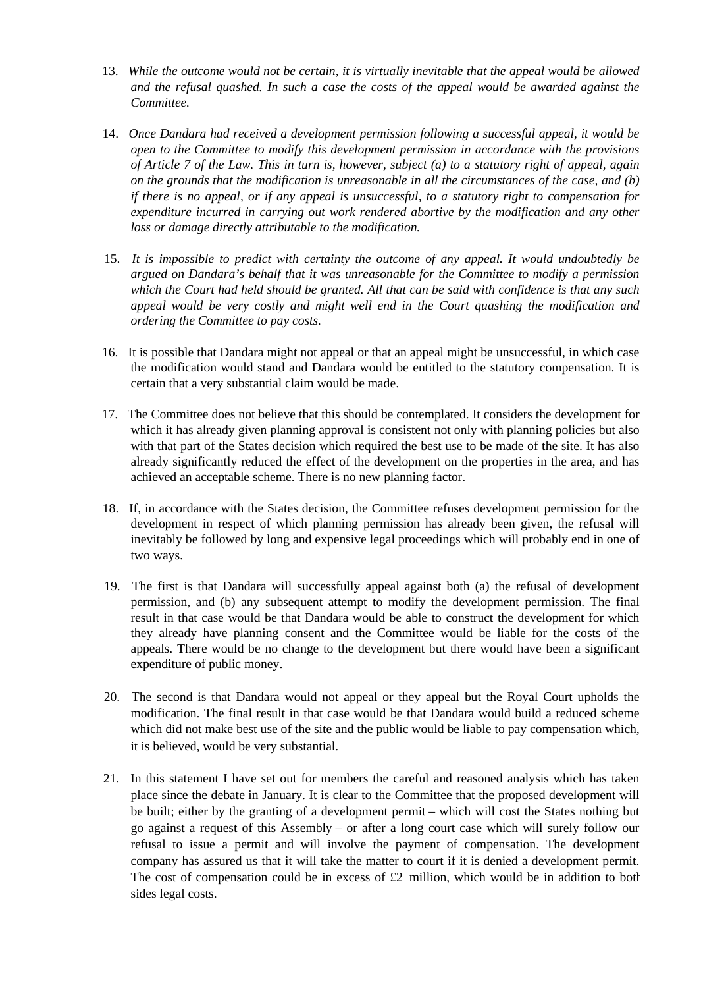- 13. *While the outcome would not be certain, it is virtually inevitable that the appeal would be allowed and the refusal quashed. In such a case the costs of the appeal would be awarded against the Committee.*
- 14. *Once Dandara had received a development permission following a successful appeal, it would be open to the Committee to modify this development permission in accordance with the provisions of Article 7 of the Law. This in turn is, however, subject (a) to a statutory right of appeal, again on the grounds that the modification is unreasonable in all the circumstances of the case, and (b) if there is no appeal, or if any appeal is unsuccessful, to a statutory right to compensation for expenditure incurred in carrying out work rendered abortive by the modification and any other loss or damage directly attributable to the modification.*
- 15. *It is impossible to predict with certainty the outcome of any appeal. It would undoubtedly be argued on Dandara's behalf that it was unreasonable for the Committee to modify a permission which the Court had held should be granted. All that can be said with confidence is that any such appeal would be very costly and might well end in the Court quashing the modification and ordering the Committee to pay costs.*
- 16. It is possible that Dandara might not appeal or that an appeal might be unsuccessful, in which case the modification would stand and Dandara would be entitled to the statutory compensation. It is certain that a very substantial claim would be made.
- 17. The Committee does not believe that this should be contemplated. It considers the development for which it has already given planning approval is consistent not only with planning policies but also with that part of the States decision which required the best use to be made of the site. It has also already significantly reduced the effect of the development on the properties in the area, and has achieved an acceptable scheme. There is no new planning factor.
- 18. If, in accordance with the States decision, the Committee refuses development permission for the development in respect of which planning permission has already been given, the refusal will inevitably be followed by long and expensive legal proceedings which will probably end in one of two ways.
- 19. The first is that Dandara will successfully appeal against both (a) the refusal of development permission, and (b) any subsequent attempt to modify the development permission. The final result in that case would be that Dandara would be able to construct the development for which they already have planning consent and the Committee would be liable for the costs of the appeals. There would be no change to the development but there would have been a significant expenditure of public money.
- 20. The second is that Dandara would not appeal or they appeal but the Royal Court upholds the modification. The final result in that case would be that Dandara would build a reduced scheme which did not make best use of the site and the public would be liable to pay compensation which, it is believed, would be very substantial.
- 21. In this statement I have set out for members the careful and reasoned analysis which has taken place since the debate in January. It is clear to the Committee that the proposed development will be built; either by the granting of a development permit – which will cost the States nothing but go against a request of this Assembly – or after a long court case which will surely follow our refusal to issue a permit and will involve the payment of compensation. The development company has assured us that it will take the matter to court if it is denied a development permit. The cost of compensation could be in excess of  $£2$  million, which would be in addition to both sides legal costs.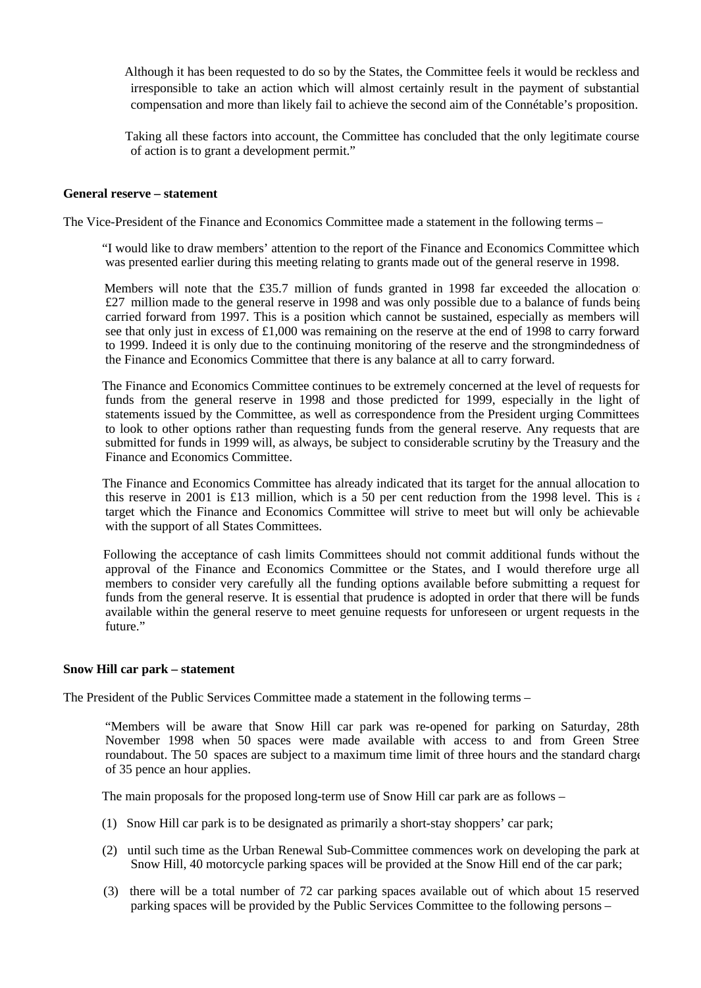Although it has been requested to do so by the States, the Committee feels it would be reckless and irresponsible to take an action which will almost certainly result in the payment of substantial compensation and more than likely fail to achieve the second aim of the Connétable's proposition.

 Taking all these factors into account, the Committee has concluded that the only legitimate course of action is to grant a development permit."

#### **General reserve – statement**

The Vice-President of the Finance and Economics Committee made a statement in the following terms –

 "I would like to draw members' attention to the report of the Finance and Economics Committee which was presented earlier during this meeting relating to grants made out of the general reserve in 1998.

Members will note that the £35.7 million of funds granted in 1998 far exceeded the allocation of £27 million made to the general reserve in 1998 and was only possible due to a balance of funds being carried forward from 1997. This is a position which cannot be sustained, especially as members will see that only just in excess of £1,000 was remaining on the reserve at the end of 1998 to carry forward to 1999. Indeed it is only due to the continuing monitoring of the reserve and the strongmindedness of the Finance and Economics Committee that there is any balance at all to carry forward.

 The Finance and Economics Committee continues to be extremely concerned at the level of requests for funds from the general reserve in 1998 and those predicted for 1999, especially in the light of statements issued by the Committee, as well as correspondence from the President urging Committees to look to other options rather than requesting funds from the general reserve. Any requests that are submitted for funds in 1999 will, as always, be subject to considerable scrutiny by the Treasury and the Finance and Economics Committee.

 The Finance and Economics Committee has already indicated that its target for the annual allocation to this reserve in 2001 is £13 million, which is a 50 per cent reduction from the 1998 level. This is a target which the Finance and Economics Committee will strive to meet but will only be achievable with the support of all States Committees.

 Following the acceptance of cash limits Committees should not commit additional funds without the approval of the Finance and Economics Committee or the States, and I would therefore urge all members to consider very carefully all the funding options available before submitting a request for funds from the general reserve. It is essential that prudence is adopted in order that there will be funds available within the general reserve to meet genuine requests for unforeseen or urgent requests in the future."

#### **Snow Hill car park – statement**

The President of the Public Services Committee made a statement in the following terms –

 "Members will be aware that Snow Hill car park was re-opened for parking on Saturday, 28th November 1998 when 50 spaces were made available with access to and from Green Street roundabout. The 50 spaces are subject to a maximum time limit of three hours and the standard charge of 35 pence an hour applies.

The main proposals for the proposed long-term use of Snow Hill car park are as follows –

- (1) Snow Hill car park is to be designated as primarily a short-stay shoppers' car park;
- (2) until such time as the Urban Renewal Sub-Committee commences work on developing the park at Snow Hill, 40 motorcycle parking spaces will be provided at the Snow Hill end of the car park;
- (3) there will be a total number of 72 car parking spaces available out of which about 15 reserved parking spaces will be provided by the Public Services Committee to the following persons –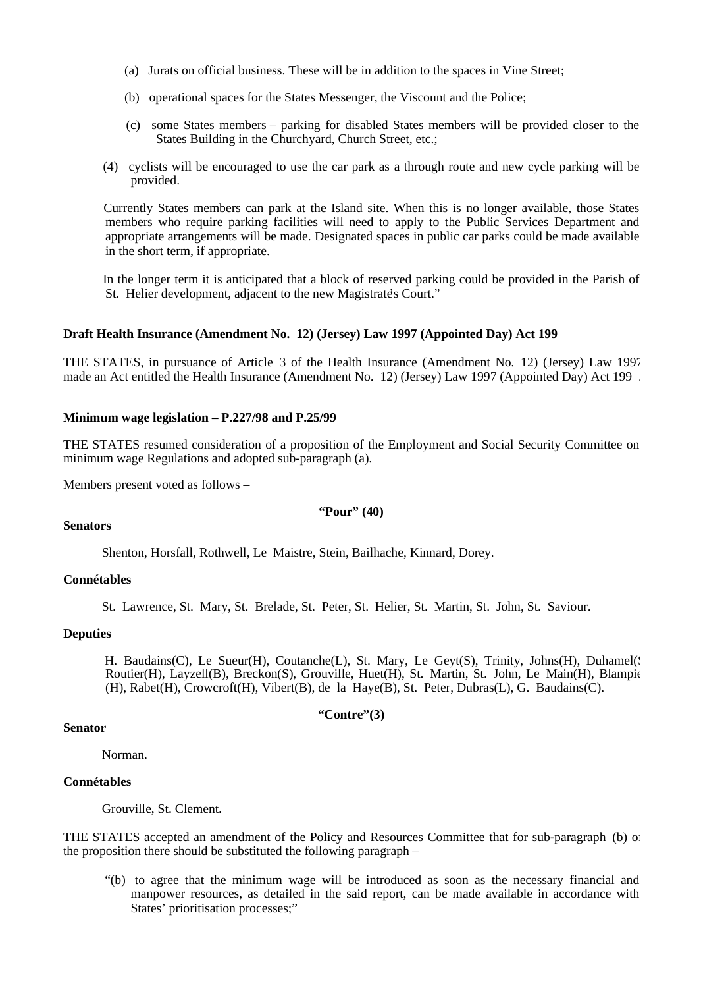- (a) Jurats on official business. These will be in addition to the spaces in Vine Street;
- (b) operational spaces for the States Messenger, the Viscount and the Police;
- (c) some States members parking for disabled States members will be provided closer to the States Building in the Churchyard, Church Street, etc.:
- (4) cyclists will be encouraged to use the car park as a through route and new cycle parking will be provided.

 Currently States members can park at the Island site. When this is no longer available, those States members who require parking facilities will need to apply to the Public Services Department and appropriate arrangements will be made. Designated spaces in public car parks could be made available in the short term, if appropriate.

 In the longer term it is anticipated that a block of reserved parking could be provided in the Parish of St. Helier development, adjacent to the new Magistrate's Court."

#### **Draft Health Insurance (Amendment No. 12) (Jersey) Law 1997 (Appointed Day) Act 199**

THE STATES, in pursuance of Article 3 of the Health Insurance (Amendment No. 12) (Jersey) Law 1997, made an Act entitled the Health Insurance (Amendment No. 12) (Jersey) Law 1997 (Appointed Day) Act 199 .

#### **Minimum wage legislation – P.227/98 and P.25/99**

THE STATES resumed consideration of a proposition of the Employment and Social Security Committee on minimum wage Regulations and adopted sub-paragraph (a).

Members present voted as follows –

#### **"Pour" (40)**

#### **Senators**

Shenton, Horsfall, Rothwell, Le Maistre, Stein, Bailhache, Kinnard, Dorey.

#### **Connétables**

St. Lawrence, St. Mary, St. Brelade, St. Peter, St. Helier, St. Martin, St. John, St. Saviour.

## **Deputies**

H. Baudains(C), Le Sueur(H), Coutanche(L), St. Mary, Le Geyt(S), Trinity, Johns(H), Duhamel(S) Routier(H), Layzell(B), Breckon(S), Grouville, Huet(H), St. Martin, St. John, Le Main(H), Blampie (H), Rabet(H), Crowcroft(H), Vibert(B), de la Haye(B), St. Peter, Dubras(L), G. Baudains(C).

#### **"Contre"(3)**

# **Senator**

Norman.

#### **Connétables**

Grouville, St. Clement.

THE STATES accepted an amendment of the Policy and Resources Committee that for sub-paragraph (b) of the proposition there should be substituted the following paragraph –

 "(b) to agree that the minimum wage will be introduced as soon as the necessary financial and manpower resources, as detailed in the said report, can be made available in accordance with States' prioritisation processes;"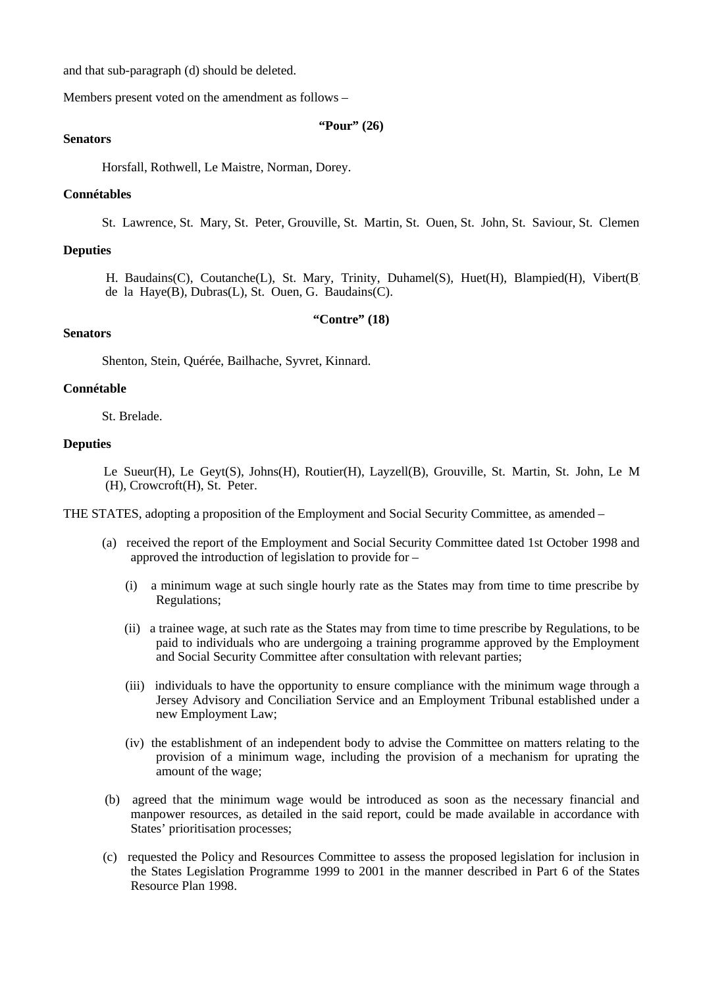and that sub-paragraph (d) should be deleted.

Members present voted on the amendment as follows –

**"Pour" (26)**

## **Senators**

Horsfall, Rothwell, Le Maistre, Norman, Dorey.

#### **Connétables**

St. Lawrence, St. Mary, St. Peter, Grouville, St. Martin, St. Ouen, St. John, St. Saviour, St. Clemen.

#### **Deputies**

H. Baudains(C), Coutanche(L), St. Mary, Trinity, Duhamel(S), Huet(H), Blampied(H), Vibert(B) de la Haye(B), Dubras(L), St. Ouen, G. Baudains(C).

#### **"Contre" (18)**

## **Senators**

Shenton, Stein, Quérée, Bailhache, Syvret, Kinnard.

#### **Connétable**

St. Brelade.

#### **Deputies**

Le Sueur(H), Le Geyt(S), Johns(H), Routier(H), Layzell(B), Grouville, St. Martin, St. John, Le M (H), Crowcroft(H), St. Peter.

THE STATES, adopting a proposition of the Employment and Social Security Committee, as amended –

- (a) received the report of the Employment and Social Security Committee dated 1st October 1998 and approved the introduction of legislation to provide for –
	- (i) a minimum wage at such single hourly rate as the States may from time to time prescribe by Regulations;
	- (ii) a trainee wage, at such rate as the States may from time to time prescribe by Regulations, to be paid to individuals who are undergoing a training programme approved by the Employment and Social Security Committee after consultation with relevant parties;
	- (iii) individuals to have the opportunity to ensure compliance with the minimum wage through a Jersey Advisory and Conciliation Service and an Employment Tribunal established under a new Employment Law;
	- (iv) the establishment of an independent body to advise the Committee on matters relating to the provision of a minimum wage, including the provision of a mechanism for uprating the amount of the wage;
- (b) agreed that the minimum wage would be introduced as soon as the necessary financial and manpower resources, as detailed in the said report, could be made available in accordance with States' prioritisation processes;
- (c) requested the Policy and Resources Committee to assess the proposed legislation for inclusion in the States Legislation Programme 1999 to 2001 in the manner described in Part 6 of the States Resource Plan 1998.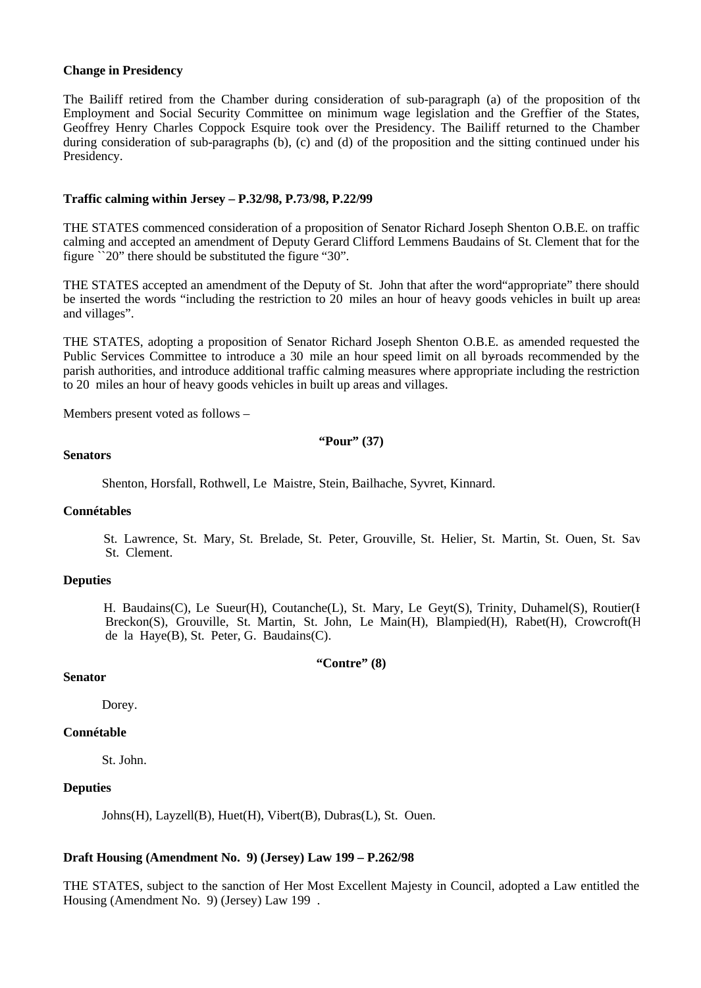#### **Change in Presidency**

The Bailiff retired from the Chamber during consideration of sub-paragraph (a) of the proposition of the Employment and Social Security Committee on minimum wage legislation and the Greffier of the States, Geoffrey Henry Charles Coppock Esquire took over the Presidency. The Bailiff returned to the Chamber during consideration of sub-paragraphs (b), (c) and (d) of the proposition and the sitting continued under his Presidency.

#### **Traffic calming within Jersey – P.32/98, P.73/98, P.22/99**

THE STATES commenced consideration of a proposition of Senator Richard Joseph Shenton O.B.E. on traffic calming and accepted an amendment of Deputy Gerard Clifford Lemmens Baudains of St. Clement that for the figure ``20" there should be substituted the figure "30".

THE STATES accepted an amendment of the Deputy of St. John that after the word"appropriate" there should be inserted the words "including the restriction to 20 miles an hour of heavy goods vehicles in built up areas and villages".

THE STATES, adopting a proposition of Senator Richard Joseph Shenton O.B.E. as amended requested the Public Services Committee to introduce a 30 mile an hour speed limit on all by-roads recommended by the parish authorities, and introduce additional traffic calming measures where appropriate including the restriction to 20 miles an hour of heavy goods vehicles in built up areas and villages.

Members present voted as follows –

**"Pour" (37)**

#### **Senators**

Shenton, Horsfall, Rothwell, Le Maistre, Stein, Bailhache, Syvret, Kinnard.

#### **Connétables**

St. Lawrence, St. Mary, St. Brelade, St. Peter, Grouville, St. Helier, St. Martin, St. Ouen, St. Sav St. Clement.

## **Deputies**

H. Baudains(C), Le Sueur(H), Coutanche(L), St. Mary, Le Geyt(S), Trinity, Duhamel(S), Routier(H) Breckon(S), Grouville, St. Martin, St. John, Le Main(H), Blampied(H), Rabet(H), Crowcroft(H), de la Haye(B), St. Peter, G. Baudains(C).

#### **"Contre" (8)**

## **Senator**

Dorey.

#### **Connétable**

St. John.

## **Deputies**

Johns(H), Layzell(B), Huet(H), Vibert(B), Dubras(L), St. Ouen.

#### **Draft Housing (Amendment No. 9) (Jersey) Law 199 – P.262/98**

THE STATES, subject to the sanction of Her Most Excellent Majesty in Council, adopted a Law entitled the Housing (Amendment No. 9) (Jersey) Law 199 .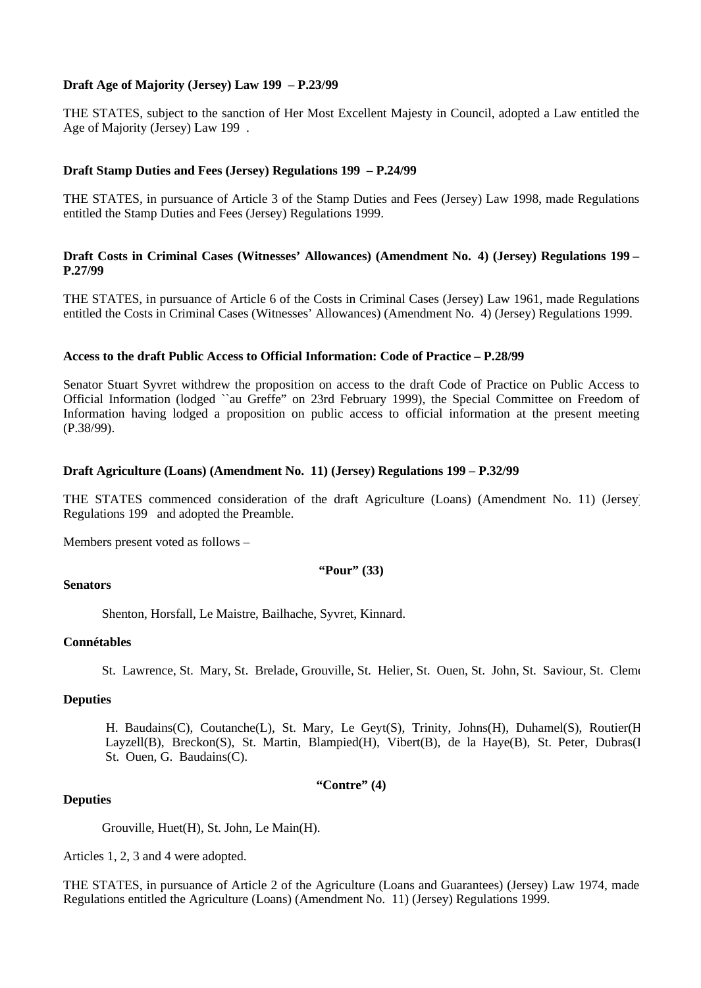## **Draft Age of Majority (Jersey) Law 199 – P.23/99**

THE STATES, subject to the sanction of Her Most Excellent Majesty in Council, adopted a Law entitled the Age of Majority (Jersey) Law 199 .

## **Draft Stamp Duties and Fees (Jersey) Regulations 199 – P.24/99**

THE STATES, in pursuance of Article 3 of the Stamp Duties and Fees (Jersey) Law 1998, made Regulations entitled the Stamp Duties and Fees (Jersey) Regulations 1999.

## **Draft Costs in Criminal Cases (Witnesses' Allowances) (Amendment No. 4) (Jersey) Regulations 199 – P.27/99**

THE STATES, in pursuance of Article 6 of the Costs in Criminal Cases (Jersey) Law 1961, made Regulations entitled the Costs in Criminal Cases (Witnesses' Allowances) (Amendment No. 4) (Jersey) Regulations 1999.

## **Access to the draft Public Access to Official Information: Code of Practice – P.28/99**

Senator Stuart Syvret withdrew the proposition on access to the draft Code of Practice on Public Access to Official Information (lodged ``au Greffe" on 23rd February 1999), the Special Committee on Freedom of Information having lodged a proposition on public access to official information at the present meeting (P.38/99).

## **Draft Agriculture (Loans) (Amendment No. 11) (Jersey) Regulations 199 – P.32/99**

THE STATES commenced consideration of the draft Agriculture (Loans) (Amendment No. 11) (Jersey) Regulations 199 and adopted the Preamble.

Members present voted as follows –

#### **"Pour" (33)**

## **Senators**

Shenton, Horsfall, Le Maistre, Bailhache, Syvret, Kinnard.

## **Connétables**

St. Lawrence, St. Mary, St. Brelade, Grouville, St. Helier, St. Ouen, St. John, St. Saviour, St. Clement.

## **Deputies**

 H. Baudains(C), Coutanche(L), St. Mary, Le Geyt(S), Trinity, Johns(H), Duhamel(S), Routier(H), Layzell(B), Breckon(S), St. Martin, Blampied(H), Vibert(B), de la Haye(B), St. Peter, Dubras(l St. Ouen, G. Baudains(C).

**"Contre" (4)**

## **Deputies**

Grouville, Huet(H), St. John, Le Main(H).

Articles 1, 2, 3 and 4 were adopted.

THE STATES, in pursuance of Article 2 of the Agriculture (Loans and Guarantees) (Jersey) Law 1974, made Regulations entitled the Agriculture (Loans) (Amendment No. 11) (Jersey) Regulations 1999.